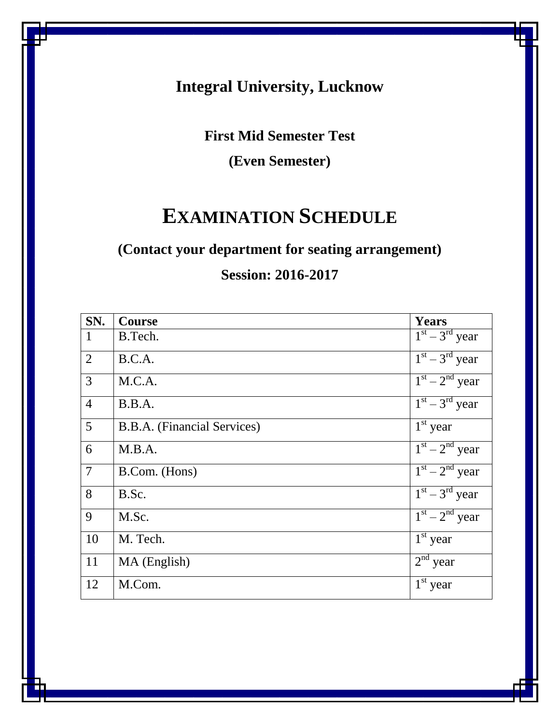# **Integral University, Lucknow**

**First Mid Semester Test**

**(Even Semester)**

# **EXAMINATION SCHEDULE**

# **(Contact your department for seating arrangement)**

# **Session: 2016-2017**

| SN.             | <b>Course</b>               | <b>Years</b>                      |
|-----------------|-----------------------------|-----------------------------------|
| $\mathbf{1}$    | B.Tech.                     | $\overline{1^{st} - 3}^{rd}$ year |
| $\overline{2}$  | B.C.A.                      | $1st - 3rd$ year                  |
| $\overline{3}$  | M.C.A.                      | $1st - 2nd$ year                  |
| $\overline{4}$  | B.B.A.                      | $1st - 3rd$ year                  |
| $5\overline{)}$ | B.B.A. (Financial Services) | $1st$ year                        |
| 6               | M.B.A.                      | $1st - 2nd$ year                  |
| $\overline{7}$  | B.Com. (Hons)               | $1st - 2nd$ year                  |
| 8               | B.Sc.                       | $1st - 3rd$ year                  |
| 9               | M.Sc.                       | $1st - 2nd$ year                  |
| 10              | M. Tech.                    | $1st$ year                        |
| 11              | MA (English)                | $2nd$ year                        |
| 12              | M.Com.                      | $1st$ year                        |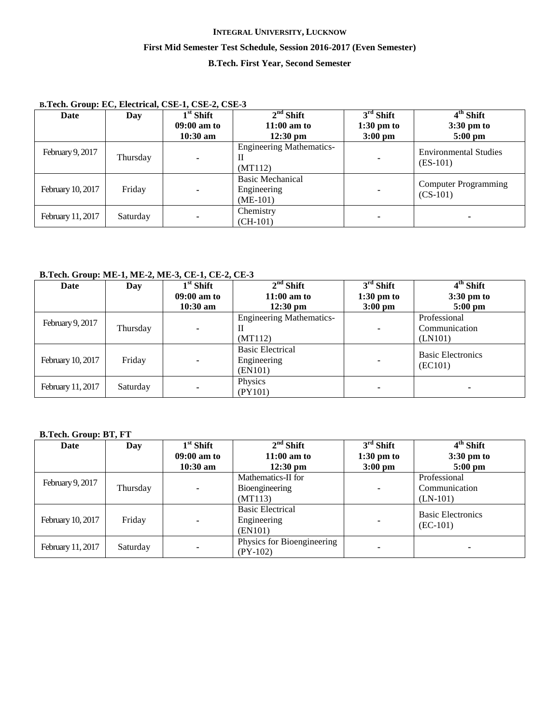# **INTEGRAL UNIVERSITY, LUCKNOW First Mid Semester Test Schedule, Session 2016-2017 (Even Semester) B.Tech. First Year, Second Semester**

# **B.Tech. Group: EC, Electrical, CSE-1, CSE-2, CSE-3**

| Date              | Day      | $1st$ Shift   | $2nd$ Shift                                          | $3rd$ Shift              | $4th$ Shift                                |
|-------------------|----------|---------------|------------------------------------------------------|--------------------------|--------------------------------------------|
|                   |          | $09:00$ am to | $11:00$ am to                                        | $1:30 \text{ pm}$ to     | $3:30 \text{ pm}$ to                       |
|                   |          | $10:30$ am    | $12:30 \text{ pm}$                                   | $3:00 \text{ pm}$        | $5:00$ pm                                  |
| February 9, 2017  | Thursday |               | <b>Engineering Mathematics-</b><br>Н<br>(MT112)      | ٠                        | <b>Environmental Studies</b><br>$(ES-101)$ |
| February 10, 2017 | Friday   |               | <b>Basic Mechanical</b><br>Engineering<br>$(ME-101)$ | $\overline{\phantom{0}}$ | <b>Computer Programming</b><br>$(CS-101)$  |
| February 11, 2017 | Saturday |               | Chemistry<br>$(CH-101)$                              | ۰                        |                                            |

# **B.Tech. Group: ME-1, ME-2, ME-3, CE-1, CE-2, CE-3**

| Date              | Day      | $1st$ Shift   | $2nd$ Shift                     | $3rd$ Shift          | 4 <sup>th</sup> Shift    |
|-------------------|----------|---------------|---------------------------------|----------------------|--------------------------|
|                   |          | $09:00$ am to | $11:00$ am to                   | $1:30 \text{ pm}$ to | $3:30 \text{ pm}$ to     |
|                   |          | $10:30$ am    | $12:30 \text{ pm}$              | $3:00$ pm            | $5:00 \text{ pm}$        |
| February 9, 2017  |          |               | <b>Engineering Mathematics-</b> |                      | Professional             |
|                   | Thursday |               | П                               | $\blacksquare$       | Communication            |
|                   |          |               | (MT112)                         |                      | (LN101)                  |
|                   |          |               | <b>Basic Electrical</b>         |                      | <b>Basic Electronics</b> |
| February 10, 2017 | Friday   |               | Engineering                     |                      | (EC101)                  |
|                   |          |               | (EN101)                         |                      |                          |
|                   |          |               | Physics                         |                      |                          |
| February 11, 2017 | Saturday |               | (PY101)                         |                      |                          |

# **B.Tech. Group: BT, FT**

| Date              | Day      | $1st$ Shift                 | $2nd$ Shift                                       | $3rd$ Shift                       | $4th$ Shift                                 |
|-------------------|----------|-----------------------------|---------------------------------------------------|-----------------------------------|---------------------------------------------|
|                   |          | $09:00$ am to<br>$10:30$ am | $11:00$ am to<br>$12:30 \text{ pm}$               | $1:30 \text{ pm}$ to<br>$3:00$ pm | $3:30 \text{ pm}$ to<br>$5:00$ pm           |
| February 9, 2017  | Thursday |                             | Mathematics-II for<br>Bioengineering<br>(MT113)   | $\blacksquare$                    | Professional<br>Communication<br>$(LN-101)$ |
| February 10, 2017 | Friday   |                             | <b>Basic Electrical</b><br>Engineering<br>(EN101) | $\blacksquare$                    | <b>Basic Electronics</b><br>$(EC-101)$      |
| February 11, 2017 | Saturday |                             | Physics for Bioengineering<br>$(PY-102)$          | ٠                                 | ۰                                           |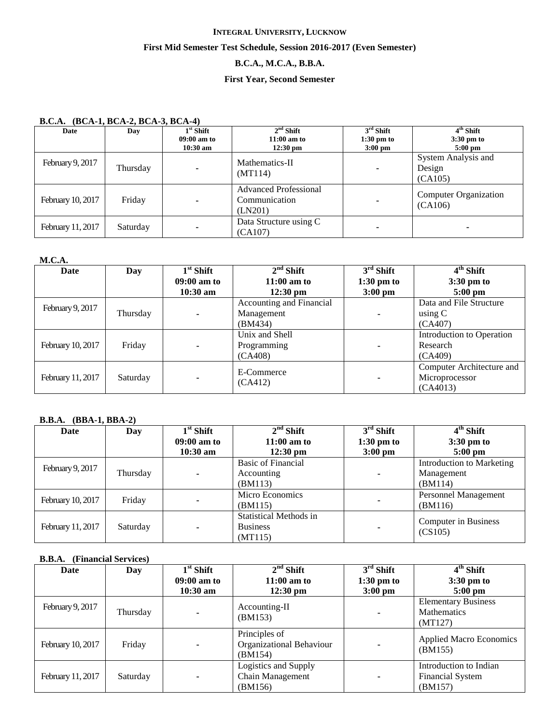# **B.C.A., M.C.A., B.B.A.**

# **First Year, Second Semester**

## **B.C.A. (BCA-1, BCA-2, BCA-3, BCA-4)**

| Date              | Day      | $1st$ Shift<br>09:00 am to<br>$10:30$ am | $2nd$ Shift<br>$11:00$ am to<br>$12:30$ pm               | $3rd$ Shift<br>$1:30$ pm to<br>$3:00$ pm | 4 <sup>th</sup> Shift<br>$3:30$ pm to<br>$5:00$ pm |
|-------------------|----------|------------------------------------------|----------------------------------------------------------|------------------------------------------|----------------------------------------------------|
| February 9, 2017  | Thursday |                                          | Mathematics-II<br>(MT114)                                | $\blacksquare$                           | System Analysis and<br>Design<br>(CA105)           |
| February 10, 2017 | Friday   |                                          | <b>Advanced Professional</b><br>Communication<br>(LN201) |                                          | <b>Computer Organization</b><br>(CA106)            |
| February 11, 2017 | Saturday | -                                        | Data Structure using C<br>(CA107)                        | $\blacksquare$                           |                                                    |

#### **M.C.A.**

| Date              | Day      | $\overline{1}^{\rm st}$ Shift | $2nd$ Shift              | $3rd$ Shift          | $4th$ Shift               |
|-------------------|----------|-------------------------------|--------------------------|----------------------|---------------------------|
|                   |          | $09:00$ am to                 | $11:00$ am to            | $1:30 \text{ pm to}$ | $3:30 \text{ pm}$ to      |
|                   |          | $10:30$ am                    | $12:30 \text{ pm}$       | $3:00$ pm            | $5:00 \text{ pm}$         |
|                   |          |                               | Accounting and Financial |                      | Data and File Structure   |
| February 9, 2017  | Thursday |                               | Management               | ٠                    | using C                   |
|                   |          |                               | (BM434)                  |                      | (CA407)                   |
|                   |          |                               | Unix and Shell           |                      | Introduction to Operation |
| February 10, 2017 | Friday   |                               | Programming              | ۰                    | Research                  |
|                   |          |                               | (CA408)                  |                      | (CA409)                   |
|                   |          |                               | E-Commerce               |                      | Computer Architecture and |
| February 11, 2017 | Saturday |                               | (CA412)                  | $\blacksquare$       | Microprocessor            |
|                   |          |                               |                          |                      | (CA4013)                  |

#### **B.B.A. (BBA-1, BBA-2)**

| Date              | Day      | $1st$ Shift   | $2nd$ Shift                   | $3rd$ Shift              | $4th$ Shift               |
|-------------------|----------|---------------|-------------------------------|--------------------------|---------------------------|
|                   |          | $09:00$ am to | $11:00$ am to                 | $1:30 \text{ pm}$ to     | $3:30 \text{ pm}$ to      |
|                   |          | $10:30$ am    | $12:30 \text{ pm}$            | $3:00$ pm                | $5:00$ pm                 |
| February 9, 2017  |          |               | <b>Basic of Financial</b>     |                          | Introduction to Marketing |
|                   | Thursday |               | Accounting                    | $\overline{\phantom{0}}$ | Management                |
|                   |          |               | (BM113)                       |                          | (BM114)                   |
| February 10, 2017 | Friday   |               | Micro Economics               |                          | Personnel Management      |
|                   |          |               | (BM115)                       | $\blacksquare$           | (BM116)                   |
|                   |          |               | <b>Statistical Methods in</b> |                          | Computer in Business      |
| February 11, 2017 | Saturday |               | <b>Business</b>               | $\overline{\phantom{0}}$ |                           |
|                   |          |               | (MT115)                       |                          | (CS105)                   |

# **B.B.A. (Financial Services)**

| Date              | Day      | $1st$ Shift        | $2nd$ Shift                                          | $3rd$ Shift              | $4th$ Shift                                                  |
|-------------------|----------|--------------------|------------------------------------------------------|--------------------------|--------------------------------------------------------------|
|                   |          | $09:00$ am to      | $11:00$ am to                                        | $1:30 \text{ pm}$ to     | $3:30 \text{ pm}$ to                                         |
|                   |          | $10:30 \text{ am}$ | $12:30 \text{ pm}$                                   | $3:00$ pm                | $5:00$ pm                                                    |
| February 9, 2017  | Thursday |                    | Accounting-II<br>(BM153)                             | $\blacksquare$           | <b>Elementary Business</b><br><b>Mathematics</b><br>(MT127)  |
| February 10, 2017 | Friday   |                    | Principles of<br>Organizational Behaviour<br>(BM154) | $\overline{\phantom{a}}$ | <b>Applied Macro Economics</b><br>(BM155)                    |
| February 11, 2017 | Saturday |                    | Logistics and Supply<br>Chain Management<br>(BM156)  | ٠                        | Introduction to Indian<br><b>Financial System</b><br>(BM157) |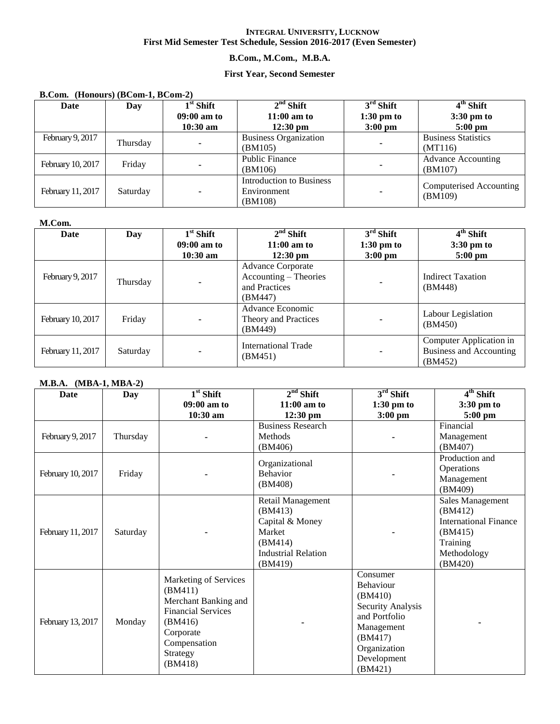# **B.Com., M.Com., M.B.A.**

# **First Year, Second Semester**

#### **B.Com. (Honours) (BCom-1, BCom-2)**

| Date              | Day      | $1st$ Shift   | $2nd$ Shift                  | $3rd$ Shift          | $4th$ Shift                |
|-------------------|----------|---------------|------------------------------|----------------------|----------------------------|
|                   |          | $09:00$ am to | $11:00$ am to                | $1:30 \text{ pm}$ to | $3:30$ pm to               |
|                   |          | $10:30$ am    | $12:30 \text{ pm}$           | $3:00$ pm            | $5:00 \text{ pm}$          |
| February 9, 2017  | Thursday |               | <b>Business Organization</b> |                      | <b>Business Statistics</b> |
|                   |          |               | (BM105)                      | ٠                    | (MT116)                    |
|                   |          |               | <b>Public Finance</b>        |                      | <b>Advance Accounting</b>  |
| February 10, 2017 | Friday   |               | (BM106)                      |                      | (BM107)                    |
|                   |          |               | Introduction to Business     |                      | Computerised Accounting    |
| February 11, 2017 | Saturday |               | Environment                  |                      |                            |
|                   |          |               | (BM108)                      |                      | (BM109)                    |

#### **M.Com.**

| Date              | Day      | $1st$ Shift   | $2nd$ Shift                                                                   | $3rd$ Shift          | $\overline{4^{th}}$ Shift                                     |
|-------------------|----------|---------------|-------------------------------------------------------------------------------|----------------------|---------------------------------------------------------------|
|                   |          | $09:00$ am to | $11:00$ am to                                                                 | $1:30 \text{ pm}$ to | $3:30 \text{ pm}$ to                                          |
|                   |          | $10:30$ am    | $12:30 \text{ pm}$                                                            | $3:00 \text{ pm}$    | $5:00 \text{ pm}$                                             |
| February 9, 2017  | Thursday |               | <b>Advance Corporate</b><br>Accounting – Theories<br>and Practices<br>(BM447) |                      | <b>Indirect Taxation</b><br>(BM448)                           |
| February 10, 2017 | Friday   |               | Advance Economic<br>Theory and Practices<br>(BM449)                           |                      | Labour Legislation<br>(BM450)                                 |
| February 11, 2017 | Saturday |               | International Trade<br>(BM451)                                                |                      | Computer Application in<br>Business and Accounting<br>(BM452) |

# **M.B.A. (MBA-1, MBA-2)**

| <b>Date</b>       | Day      | $1st$ Shift               | $2nd$ Shift                | $3rd$ Shift       | 4 <sup>th</sup> Shift        |
|-------------------|----------|---------------------------|----------------------------|-------------------|------------------------------|
|                   |          | $09:00$ am to             | $11:00$ am to              | $1:30$ pm to      | 3:30 pm to                   |
|                   |          | 10:30 am                  | $12:30 \text{ pm}$         | $3:00$ pm         | 5:00 pm                      |
|                   |          |                           | <b>Business Research</b>   |                   | Financial                    |
| February 9, 2017  | Thursday |                           | Methods                    |                   | Management                   |
|                   |          |                           | (BM406)                    |                   | (BM407)                      |
|                   |          |                           | Organizational             |                   | Production and               |
| February 10, 2017 | Friday   |                           | Behavior                   |                   | Operations                   |
|                   |          |                           | (BM408)                    |                   | Management                   |
|                   |          |                           |                            |                   | (BM409)                      |
|                   |          |                           | Retail Management          |                   | Sales Management             |
|                   |          |                           | (BM413)                    |                   | (BM412)                      |
|                   |          |                           | Capital & Money            |                   | <b>International Finance</b> |
| February 11, 2017 | Saturday |                           | Market                     |                   | (BM415)                      |
|                   |          |                           | (BM414)                    |                   | Training                     |
|                   |          |                           | <b>Industrial Relation</b> |                   | Methodology                  |
|                   |          |                           | (BM419)                    |                   | (BM420)                      |
|                   |          | Marketing of Services     |                            | Consumer          |                              |
|                   |          | (BM411)                   |                            | Behaviour         |                              |
|                   |          | Merchant Banking and      |                            | (BM410)           |                              |
|                   |          | <b>Financial Services</b> |                            | Security Analysis |                              |
| February 13, 2017 | Monday   | (BM416)                   |                            | and Portfolio     |                              |
|                   |          | Corporate                 |                            | Management        |                              |
|                   |          | Compensation              |                            | (BM417)           |                              |
|                   |          | Strategy                  |                            | Organization      |                              |
|                   |          | (BM418)                   |                            | Development       |                              |
|                   |          |                           |                            | (BM421)           |                              |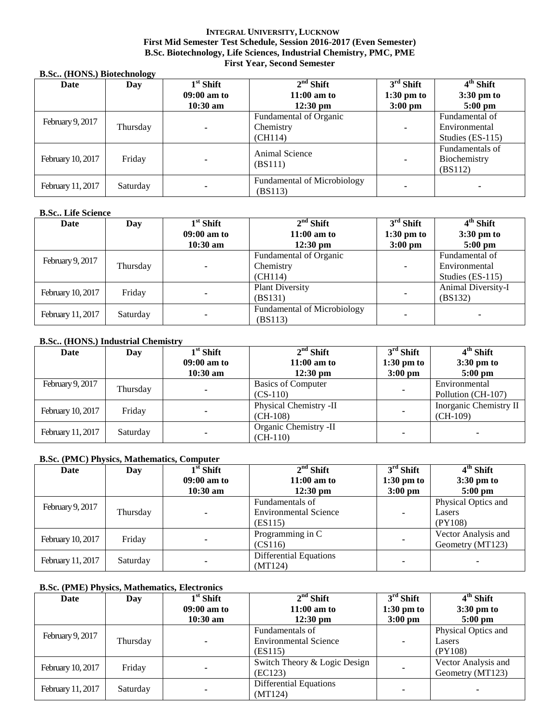#### **INTEGRAL UNIVERSITY, LUCKNOW First Mid Semester Test Schedule, Session 2016-2017 (Even Semester) B.Sc. Biotechnology, Life Sciences, Industrial Chemistry, PMC, PME First Year, Second Semester**

#### **B.Sc.. (HONS.) Biotechnology**

| Date              | --<br>Day | $1st$ Shift   | $2nd$ Shift                            | $3rd$ Shift          | 4 <sup>th</sup> Shift                      |
|-------------------|-----------|---------------|----------------------------------------|----------------------|--------------------------------------------|
|                   |           | $09:00$ am to | $11:00$ am to                          | $1:30 \text{ pm to}$ | $3:30 \text{ pm}$ to                       |
|                   |           | $10:30$ am    | $12:30 \text{ pm}$                     | $3:00 \text{ pm}$    | $5:00$ pm                                  |
|                   |           |               | Fundamental of Organic                 |                      | Fundamental of                             |
| February 9, 2017  | Thursday  |               | Chemistry                              | ۰                    | Environmental                              |
|                   |           |               | (CH114)                                |                      | Studies (ES-115)                           |
| February 10, 2017 | Friday    |               | Animal Science<br>(BS111)              | $\blacksquare$       | Fundamentals of<br>Biochemistry<br>(BS112) |
| February 11, 2017 | Saturday  |               | Fundamental of Microbiology<br>(BS113) |                      | ۰                                          |

#### **B.Sc.. Life Science**

| Date              | Day      | $1st$ Shift   | $2nd$ Shift                        | $3rd$ Shift          | $4th$ Shift        |
|-------------------|----------|---------------|------------------------------------|----------------------|--------------------|
|                   |          | $09:00$ am to | $11:00$ am to                      | $1:30 \text{ pm to}$ | 3:30 pm to         |
|                   |          | $10:30$ am    | $12:30 \text{ pm}$                 | $3:00 \text{ pm}$    | $5:00 \text{ pm}$  |
| February 9, 2017  |          | Thursday      | Fundamental of Organic             |                      | Fundamental of     |
|                   |          |               | Chemistry                          | ۰                    | Environmental      |
|                   |          |               | (CH114)                            |                      | Studies (ES-115)   |
|                   |          |               | <b>Plant Diversity</b>             |                      | Animal Diversity-I |
| February 10, 2017 | Friday   |               | (BS131)                            | ۰                    | (BS132)            |
|                   |          |               | <b>Fundamental of Microbiology</b> |                      |                    |
| February 11, 2017 | Saturday |               | (BS113)                            |                      | $\blacksquare$     |

#### **B.Sc.. (HONS.) Industrial Chemistry**

| Date              | Day      | $1st$ Shift   | $2nd$ Shift               | $3rd$ Shift          | $4th$ Shift            |
|-------------------|----------|---------------|---------------------------|----------------------|------------------------|
|                   |          | $09:00$ am to | $11:00$ am to             | $1:30 \text{ pm}$ to | $3:30 \text{ pm}$ to   |
|                   |          | $10:30$ am    | $12:30 \text{ pm}$        | $3:00$ pm            | $5:00 \text{ pm}$      |
| February 9, 2017  | Thursday |               | <b>Basics of Computer</b> |                      | Environmental          |
|                   |          |               | $(CS-110)$                |                      | Pollution (CH-107)     |
| February 10, 2017 | Friday   |               | Physical Chemistry -II    |                      | Inorganic Chemistry II |
|                   |          |               | $(CH-108)$                | ۰                    | $(CH-109)$             |
|                   |          |               | Organic Chemistry -II     |                      |                        |
| February 11, 2017 | Saturday |               | $(CH-110)$                |                      |                        |

## **B.Sc. (PMC) Physics, Mathematics, Computer**

| Date              | Day      | $1st$ Shift   | $2nd$ Shift                   | $3rd$ Shift          | $4th$ Shift          |
|-------------------|----------|---------------|-------------------------------|----------------------|----------------------|
|                   |          | $09:00$ am to | $11:00$ am to                 | $1:30 \text{ pm}$ to | $3:30 \text{ pm}$ to |
|                   |          | $10:30$ am    | $12:30 \text{ pm}$            | $3:00$ pm            | $5:00$ pm            |
| February 9, 2017  |          | Thursday      | Fundamentals of               |                      | Physical Optics and  |
|                   |          |               | <b>Environmental Science</b>  | ۰                    | Lasers               |
|                   |          |               | (ES115)                       |                      | (PY108)              |
|                   | Friday   |               | Programming in C              |                      | Vector Analysis and  |
| February 10, 2017 |          |               | (CS116)                       | ۰                    | Geometry (MT123)     |
| February 11, 2017 | Saturday |               | <b>Differential Equations</b> |                      |                      |
|                   |          |               | (MT124)                       |                      |                      |

#### **B.Sc. (PME) Physics, Mathematics, Electronics**

| Date              | Day      | $1st$ Shift   | $2nd$ Shift                   | $3rd$ Shift              | $4th$ Shift          |
|-------------------|----------|---------------|-------------------------------|--------------------------|----------------------|
|                   |          | $09:00$ am to | $11:00$ am to                 | $1:30 \text{ pm}$ to     | $3:30 \text{ pm}$ to |
|                   |          | $10:30$ am    | $12:30 \text{ pm}$            | $3:00 \text{ pm}$        | $5:00$ pm            |
| February 9, 2017  |          |               | Fundamentals of               |                          | Physical Optics and  |
|                   | Thursday |               | <b>Environmental Science</b>  | $\overline{\phantom{0}}$ | Lasers               |
|                   |          |               | (ES115)                       |                          | (PY108)              |
|                   | Friday   |               | Switch Theory & Logic Design  |                          | Vector Analysis and  |
| February 10, 2017 |          |               | (EC123)                       |                          | Geometry (MT123)     |
|                   |          |               | <b>Differential Equations</b> |                          |                      |
| February 11, 2017 | Saturday |               | (MT124)                       |                          |                      |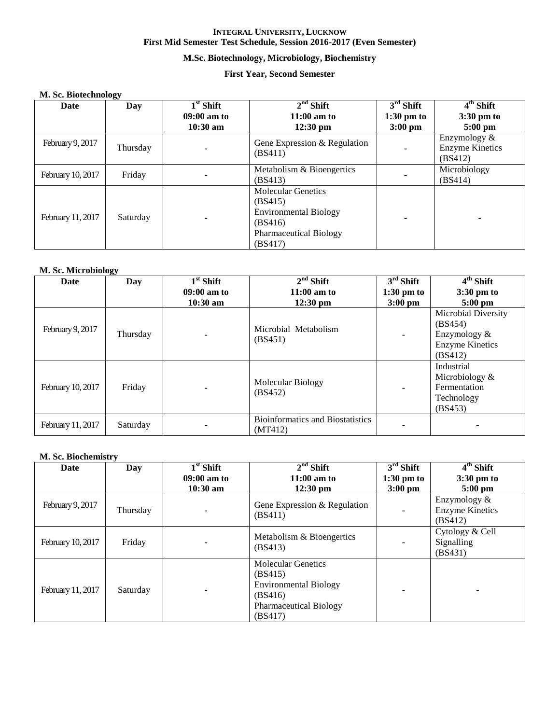# **M.Sc. Biotechnology, Microbiology, Biochemistry**

# **First Year, Second Semester**

#### **M. Sc. Biotechnology**

| Date              | ⊷<br>Day | $1st$ Shift | $2nd$ Shift                                                                                                                 | $3rd$ Shift          | $4th$ Shift                                       |
|-------------------|----------|-------------|-----------------------------------------------------------------------------------------------------------------------------|----------------------|---------------------------------------------------|
|                   |          | 09:00 am to | $11:00$ am to                                                                                                               | $1:30 \text{ pm to}$ | $3:30 \text{ pm}$ to                              |
|                   |          | $10:30$ am  | $12:30$ pm                                                                                                                  | $3:00$ pm            | $5:00$ pm                                         |
| February 9, 2017  | Thursday |             | Gene Expression & Regulation<br>(BS411)                                                                                     | ۰                    | Enzymology &<br><b>Enzyme Kinetics</b><br>(BS412) |
| February 10, 2017 | Friday   |             | Metabolism & Bioengertics<br>(BS413)                                                                                        |                      | Microbiology<br>(BS414)                           |
| February 11, 2017 | Saturday |             | <b>Molecular Genetics</b><br>(BS415)<br><b>Environmental Biology</b><br>(BS416)<br><b>Pharmaceutical Biology</b><br>(BS417) | ٠                    |                                                   |

#### **M. Sc. Microbiology**

| Date              | Day      | $1st$ Shift   | $2nd$ Shift                                        | $3rd$ Shift          | $4th$ Shift                                                                         |
|-------------------|----------|---------------|----------------------------------------------------|----------------------|-------------------------------------------------------------------------------------|
|                   |          | $09:00$ am to | $11:00$ am to                                      | $1:30 \text{ pm}$ to | $3:30 \text{ pm}$ to                                                                |
|                   |          | $10:30$ am    | $12:30 \text{ pm}$                                 | $3:00$ pm            | $5:00$ pm                                                                           |
| February 9, 2017  | Thursday |               | Microbial Metabolism<br>(BS451)                    | $\blacksquare$       | Microbial Diversity<br>(BS454)<br>Enzymology &<br><b>Enzyme Kinetics</b><br>(BS412) |
| February 10, 2017 | Friday   |               | Molecular Biology<br>(BS452)                       |                      | Industrial<br>Microbiology $\&$<br>Fermentation<br>Technology<br>(BS453)            |
| February 11, 2017 | Saturday |               | <b>Bioinformatics and Biostatistics</b><br>(MT412) |                      |                                                                                     |

#### **M. Sc. Biochemistry**

| Date              | Day      | $1st$ Shift   | $2nd$ Shift                                                                                                                 | $3rd$ Shift          | $4th$ Shift                                       |
|-------------------|----------|---------------|-----------------------------------------------------------------------------------------------------------------------------|----------------------|---------------------------------------------------|
|                   |          | $09:00$ am to | $11:00$ am to                                                                                                               | $1:30 \text{ pm}$ to | 3:30 pm to                                        |
|                   |          | $10:30$ am    | $12:30$ pm                                                                                                                  | $3:00$ pm            | $5:00$ pm                                         |
| February 9, 2017  | Thursday |               | Gene Expression & Regulation<br>(BS411)                                                                                     |                      | Enzymology &<br><b>Enzyme Kinetics</b><br>(BS412) |
| February 10, 2017 | Friday   |               | Metabolism & Bioengertics<br>(BS413)                                                                                        |                      | Cytology & Cell<br>Signalling<br>(BS431)          |
| February 11, 2017 | Saturday |               | <b>Molecular Genetics</b><br>(BS415)<br><b>Environmental Biology</b><br>(BS416)<br><b>Pharmaceutical Biology</b><br>(BS417) |                      |                                                   |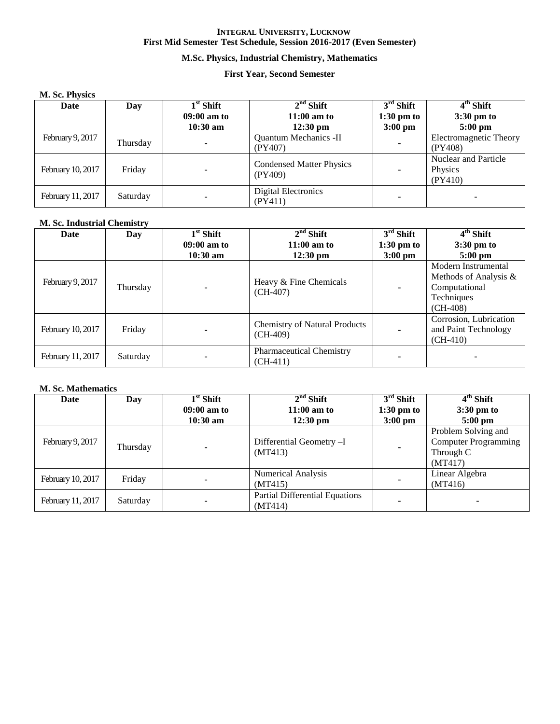# **M.Sc. Physics, Industrial Chemistry, Mathematics**

## **First Year, Second Semester**

#### **M. Sc. Physics**

| Date              | Day      | $1st$ Shift   | $2nd$ Shift                                | $3rd$ Shift          | $4th$ Shift                                       |
|-------------------|----------|---------------|--------------------------------------------|----------------------|---------------------------------------------------|
|                   |          | $09:00$ am to | $11:00$ am to                              | $1:30 \text{ pm}$ to | $3:30 \text{ pm}$ to                              |
|                   |          | $10:30$ am    | $12:30 \text{ pm}$                         | $3:00 \text{ pm}$    | $5:00 \text{ pm}$                                 |
| February 9, 2017  | Thursday |               | <b>Quantum Mechanics -II</b><br>(PY407)    | -                    | Electromagnetic Theory<br>(PY408)                 |
| February 10, 2017 | Friday   |               | <b>Condensed Matter Physics</b><br>(PY409) |                      | <b>Nuclear and Particle</b><br>Physics<br>(PY410) |
| February 11, 2017 | Saturday |               | Digital Electronics<br>(PY411)             |                      |                                                   |

#### **M. Sc. Industrial Chemistry**

| <b>Date</b>       | Day      | $1st$ Shift   | $2nd$ Shift                                        | $\overline{3^{rd}}$ Shift | $4th$ Shift                                                                               |
|-------------------|----------|---------------|----------------------------------------------------|---------------------------|-------------------------------------------------------------------------------------------|
|                   |          | $09:00$ am to | $11:00$ am to                                      | $1:30 \text{ pm to}$      | $3:30 \text{ pm}$ to                                                                      |
|                   |          | $10:30$ am    | $12:30 \text{ pm}$                                 | $3:00 \text{ pm}$         | $5:00 \text{ pm}$                                                                         |
| February 9, 2017  | Thursday |               | Heavy & Fine Chemicals<br>$(CH-407)$               |                           | Modern Instrumental<br>Methods of Analysis &<br>Computational<br>Techniques<br>$(CH-408)$ |
| February 10, 2017 | Friday   |               | <b>Chemistry of Natural Products</b><br>$(CH-409)$ |                           | Corrosion, Lubrication<br>and Paint Technology<br>$(CH-410)$                              |
| February 11, 2017 | Saturday |               | <b>Pharmaceutical Chemistry</b><br>$(CH-411)$      |                           |                                                                                           |

#### **M. Sc. Mathematics**

| Date              | Day      | $1st$ Shift   | $2nd$ Shift                                      | $3rd$ Shift          | 4 <sup>th</sup> Shift                                                      |
|-------------------|----------|---------------|--------------------------------------------------|----------------------|----------------------------------------------------------------------------|
|                   |          | $09:00$ am to | $11:00$ am to                                    | $1:30 \text{ pm}$ to | 3:30 pm to                                                                 |
|                   |          | $10:30$ am    | $12:30 \text{ pm}$                               | $3:00 \text{ pm}$    | $5:00$ pm                                                                  |
| February 9, 2017  | Thursday |               | Differential Geometry -I<br>(MT413)              |                      | Problem Solving and<br><b>Computer Programming</b><br>Through C<br>(MT417) |
| February 10, 2017 | Friday   |               | <b>Numerical Analysis</b><br>(MT415)             |                      | Linear Algebra<br>(MT416)                                                  |
| February 11, 2017 | Saturday |               | <b>Partial Differential Equations</b><br>(MT414) |                      |                                                                            |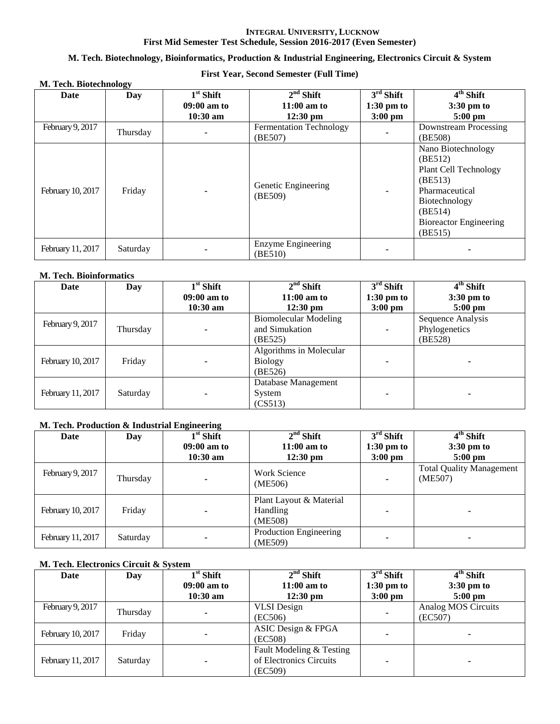## **M. Tech. Biotechnology, Bioinformatics, Production & Industrial Engineering, Electronics Circuit & System**

# **First Year, Second Semester (Full Time)**

| M. Tech. Biotechnology |          |                                          |                                            |                                                  |                                                                                                                                                             |  |  |
|------------------------|----------|------------------------------------------|--------------------------------------------|--------------------------------------------------|-------------------------------------------------------------------------------------------------------------------------------------------------------------|--|--|
| Date                   | Day      | $1st$ Shift<br>09:00 am to<br>$10:30$ am | $2nd$ Shift<br>$11:00$ am to<br>$12:30$ pm | $3rd$ Shift<br>$1:30 \text{ pm to}$<br>$3:00$ pm | $4th$ Shift<br>$3:30 \text{ pm}$ to<br>$5:00$ pm                                                                                                            |  |  |
| February 9, 2017       | Thursday |                                          | <b>Fermentation Technology</b><br>(BE507)  |                                                  | Downstream Processing<br>(BE508)                                                                                                                            |  |  |
| February 10, 2017      | Friday   |                                          | Genetic Engineering<br>(BE509)             |                                                  | Nano Biotechnology<br>(BE512)<br>Plant Cell Technology<br>(BE513)<br>Pharmaceutical<br>Biotechnology<br>(BE514)<br><b>Bioreactor Engineering</b><br>(BE515) |  |  |
| February 11, 2017      | Saturday |                                          | Enzyme Engineering<br>(BE510)              |                                                  |                                                                                                                                                             |  |  |

#### **M. Tech. Bioinformatics**

| Date              | Day      | $1st$ Shift   | $2nd$ Shift                  | $3rd$ Shift          | 4 <sup>th</sup> Shift |
|-------------------|----------|---------------|------------------------------|----------------------|-----------------------|
|                   |          | $09:00$ am to | $11:00$ am to                | $1:30 \text{ pm}$ to | 3:30 pm to            |
|                   |          | $10:30$ am    | $12:30 \text{ pm}$           | $3:00 \text{ pm}$    | $5:00$ pm             |
|                   |          |               | <b>Biomolecular Modeling</b> |                      | Sequence Analysis     |
| February 9, 2017  | Thursday |               | and Simukation               |                      | Phylogenetics         |
|                   |          |               | (BE525)                      |                      | (BE528)               |
|                   |          |               | Algorithms in Molecular      |                      |                       |
| February 10, 2017 | Friday   |               | <b>Biology</b>               |                      |                       |
|                   |          |               | (BE526)                      |                      |                       |
|                   |          |               | Database Management          |                      |                       |
| February 11, 2017 | Saturday |               | System                       |                      |                       |
|                   |          |               | (CS513)                      |                      |                       |

#### **M. Tech. Production & Industrial Engineering**

| Date              | Day      | $1st$ Shift   | $2nd$ Shift                                    | $3rd$ Shift              | 4 <sup>th</sup> Shift                      |
|-------------------|----------|---------------|------------------------------------------------|--------------------------|--------------------------------------------|
|                   |          | $09:00$ am to | $11:00$ am to                                  | $1:30$ pm to             | $3:30 \text{ pm}$ to                       |
|                   |          | $10:30$ am    | $12:30 \text{ pm}$                             | $3:00 \text{ pm}$        | $5:00 \text{ pm}$                          |
| February 9, 2017  | Thursday |               | <b>Work Science</b><br>(ME506)                 | $\overline{\phantom{a}}$ | <b>Total Quality Management</b><br>(ME507) |
| February 10, 2017 | Friday   |               | Plant Layout & Material<br>Handling<br>(ME508) |                          |                                            |
| February 11, 2017 | Saturday |               | Production Engineering<br>(ME509)              |                          |                                            |

# **M. Tech. Electronics Circuit & System**

| Date              | Day      | $1st$ Shift   | $2nd$ Shift              | $3rd$ Shift       | $4th$ Shift          |
|-------------------|----------|---------------|--------------------------|-------------------|----------------------|
|                   |          | $09:00$ am to | $11:00$ am to            | $1:30$ pm to      | $3:30 \text{ pm}$ to |
|                   |          | $10:30$ am    | $12:30 \text{ pm}$       | $3:00 \text{ pm}$ | $5:00$ pm            |
| February 9, 2017  |          |               | <b>VLSI</b> Design       |                   | Analog MOS Circuits  |
|                   | Thursday |               | (EC506)                  |                   | (EC507)              |
|                   | Friday   |               | ASIC Design & FPGA       |                   |                      |
| February 10, 2017 |          |               | (EC508)                  |                   | ۰                    |
|                   |          |               | Fault Modeling & Testing |                   |                      |
| February 11, 2017 | Saturday |               | of Electronics Circuits  |                   |                      |
|                   |          |               | (EC509)                  |                   |                      |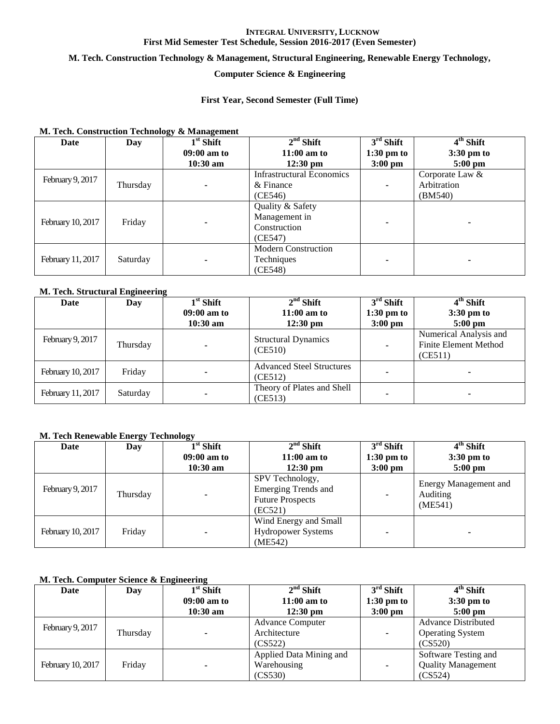#### **M. Tech. Construction Technology & Management, Structural Engineering, Renewable Energy Technology,**

# **Computer Science & Engineering**

#### **First Year, Second Semester (Full Time)**

#### **M. Tech. Construction Technology & Management**

| Date              | Day      | $1st$ Shift | $2nd$ Shift                      | $3rd$ Shift  | $4th$ Shift          |
|-------------------|----------|-------------|----------------------------------|--------------|----------------------|
|                   |          | 09:00 am to | $11:00$ am to                    | $1:30$ pm to | $3:30 \text{ pm}$ to |
|                   |          | $10:30$ am  | $12:30 \text{ pm}$               | $3:00$ pm    | $5:00$ pm            |
|                   |          |             | <b>Infrastructural Economics</b> |              | Corporate Law &      |
| February 9, 2017  | Thursday |             | $&$ Finance                      |              | Arbitration          |
|                   |          |             | (CE546)                          |              | (BM540)              |
|                   |          |             | Quality & Safety                 |              |                      |
| February 10, 2017 | Friday   |             | Management in                    |              |                      |
|                   |          |             | Construction                     |              |                      |
|                   |          |             | (CE547)                          |              |                      |
|                   |          |             | <b>Modern Construction</b>       |              |                      |
| February 11, 2017 | Saturday |             | Techniques                       |              |                      |
|                   |          |             | (CE548)                          |              |                      |

## **M. Tech. Structural Engineering**

| Date              | -<br>Day | $1st$ Shift   | $2nd$ Shift                                 | $3rd$ Shift          | $4th$ Shift                                                       |
|-------------------|----------|---------------|---------------------------------------------|----------------------|-------------------------------------------------------------------|
|                   |          | $09:00$ am to | $11:00$ am to                               | $1:30 \text{ pm}$ to | $3:30 \text{ pm}$ to                                              |
|                   |          | $10:30$ am    | $12:30 \text{ pm}$                          | $3:00$ pm            | $5:00 \text{ pm}$                                                 |
| February 9, 2017  | Thursday |               | <b>Structural Dynamics</b><br>(CE510)       |                      | Numerical Analysis and<br><b>Finite Element Method</b><br>(CE511) |
| February 10, 2017 | Friday   |               | <b>Advanced Steel Structures</b><br>(CE512) |                      |                                                                   |
| February 11, 2017 | Saturday |               | Theory of Plates and Shell<br>(CE513)       |                      |                                                                   |

#### **M. Tech Renewable Energy Technology**

| Date              | Day      | $1st$ Shift   | $2nd$ Shift                                                                         | $3rd$ Shift       | $4th$ Shift                                  |
|-------------------|----------|---------------|-------------------------------------------------------------------------------------|-------------------|----------------------------------------------|
|                   |          | $09:00$ am to | $11:00$ am to                                                                       | $1:30$ pm to      | $3:30 \text{ pm}$ to                         |
|                   |          | $10:30$ am    | $12:30 \text{ pm}$                                                                  | $3:00 \text{ pm}$ | $5:00 \text{ pm}$                            |
| February 9, 2017  | Thursday |               | SPV Technology,<br><b>Emerging Trends and</b><br><b>Future Prospects</b><br>(EC521) |                   | Energy Management and<br>Auditing<br>(ME541) |
| February 10, 2017 | Friday   |               | Wind Energy and Small<br><b>Hydropower Systems</b><br>(ME542)                       |                   |                                              |

# **M. Tech. Computer Science & Engineering**

| Date              | Day      | $1st$ Shift   | $2nd$ Shift             | $3rd$ Shift          | 4 <sup>th</sup> Shift      |
|-------------------|----------|---------------|-------------------------|----------------------|----------------------------|
|                   |          | $09:00$ am to | $11:00$ am to           | $1:30 \text{ pm}$ to | $3:30 \text{ pm}$ to       |
|                   |          | $10:30$ am    | $12:30 \text{ pm}$      | $3:00$ pm            | $5:00 \text{ pm}$          |
|                   |          |               | <b>Advance Computer</b> |                      | <b>Advance Distributed</b> |
| February 9, 2017  | Thursday |               | Architecture            | ٠                    | <b>Operating System</b>    |
|                   |          |               | (CS522)                 |                      | (CS520)                    |
| February 10, 2017 | Friday   |               | Applied Data Mining and |                      | Software Testing and       |
|                   |          |               | Warehousing             |                      | <b>Quality Management</b>  |
|                   |          | (CS530)       |                         | (CS524)              |                            |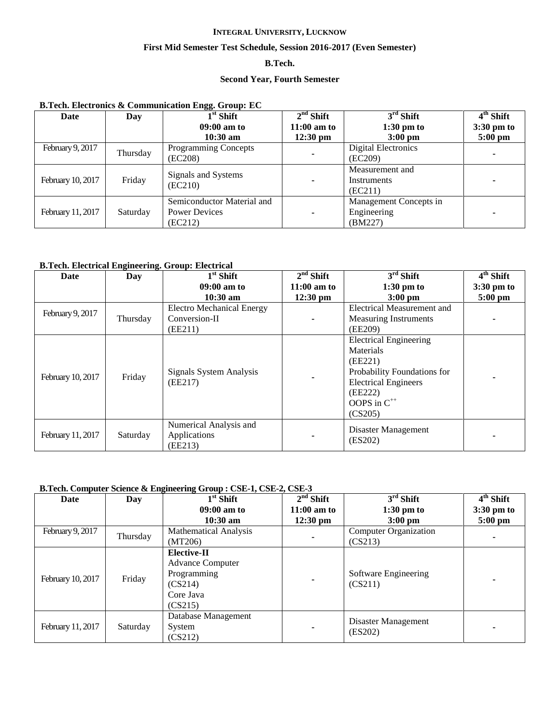## **First Mid Semester Test Schedule, Session 2016-2017 (Even Semester)**

# **B.Tech.**

#### **Second Year, Fourth Semester**

#### **B.Tech. Electronics & Communication Engg. Group: EC**

| Date              | Day      | œ<br>$1st$ Shift               | $2nd$ Shift              | $3rd$ Shift            | $\overline{4^{th}}$ Shift |
|-------------------|----------|--------------------------------|--------------------------|------------------------|---------------------------|
|                   |          | 09:00 am to                    | $11:00$ am to            | $1:30$ pm to           | 3:30 pm to                |
|                   |          | $10:30 \text{ am}$             | $12:30 \text{ pm}$       | $3:00 \text{ pm}$      | $5:00$ pm                 |
| February 9, 2017  | Thursday | <b>Programming Concepts</b>    |                          | Digital Electronics    |                           |
|                   |          | (EC208)                        | $\overline{\phantom{a}}$ | (EC209)                |                           |
|                   |          |                                |                          | Measurement and        |                           |
| February 10, 2017 | Friday   | Signals and Systems<br>(EC210) | ۰                        | Instruments            |                           |
|                   |          |                                |                          | (EC211)                |                           |
|                   |          | Semiconductor Material and     |                          | Management Concepts in |                           |
| February 11, 2017 | Saturday | <b>Power Devices</b>           |                          | Engineering            |                           |
|                   |          | (EC212)                        |                          | (BM227)                |                           |

#### **B.Tech. Electrical Engineering. Group: Electrical**

| Date              | Day      | $\overline{1}^{\rm st}$ Shift                     | $2nd$ Shift        | $3rd$ Shift                                                                                                                                                          | $\overline{4}^{\text{th}}$ Shift |
|-------------------|----------|---------------------------------------------------|--------------------|----------------------------------------------------------------------------------------------------------------------------------------------------------------------|----------------------------------|
|                   |          | $09:00$ am to                                     | $11:00$ am to      | $1:30$ pm to                                                                                                                                                         | $3:30 \text{ pm}$ to             |
|                   |          | $10:30$ am                                        | $12:30 \text{ pm}$ | $3:00$ pm                                                                                                                                                            | $5:00$ pm                        |
| February 9, 2017  |          | <b>Electro Mechanical Energy</b>                  |                    | <b>Electrical Measurement and</b>                                                                                                                                    |                                  |
|                   | Thursday | Conversion-II                                     |                    | <b>Measuring Instruments</b>                                                                                                                                         |                                  |
|                   |          | (EE211)                                           |                    | (EE209)                                                                                                                                                              |                                  |
| February 10, 2017 | Friday   | Signals System Analysis<br>(EE217)                |                    | <b>Electrical Engineering</b><br>Materials<br>(EE221)<br>Probability Foundations for<br><b>Electrical Engineers</b><br>(EE222)<br>OOPS in C <sup>++</sup><br>(CS205) |                                  |
| February 11, 2017 | Saturday | Numerical Analysis and<br>Applications<br>(EE213) |                    | Disaster Management<br>(ES202)                                                                                                                                       |                                  |

#### **B.Tech. Computer Science & Engineering Group : CSE-1, CSE-2, CSE-3**

| Date              | Day      | $1st$ Shift                                                                                     | $2nd$ Shift        | $3rd$ Shift                     | 4 <sup>th</sup> Shift |
|-------------------|----------|-------------------------------------------------------------------------------------------------|--------------------|---------------------------------|-----------------------|
|                   |          | 09:00 am to                                                                                     | $11:00$ am to      | $1:30$ pm to                    | $3:30 \text{ pm}$ to  |
|                   |          | $10:30 \text{ am}$                                                                              | $12:30 \text{ pm}$ | $3:00 \text{ pm}$               | $5:00$ pm             |
| February 9, 2017  | Thursday | <b>Mathematical Analysis</b>                                                                    |                    | <b>Computer Organization</b>    |                       |
|                   |          | (MT206)                                                                                         |                    | (CS213)                         |                       |
| February 10, 2017 | Friday   | <b>Elective-II</b><br><b>Advance Computer</b><br>Programming<br>(CS214)<br>Core Java<br>(CS215) | $\blacksquare$     | Software Engineering<br>(CS211) |                       |
| February 11, 2017 | Saturday | Database Management<br>System<br>(CS212)                                                        | ۰                  | Disaster Management<br>(ES202)  |                       |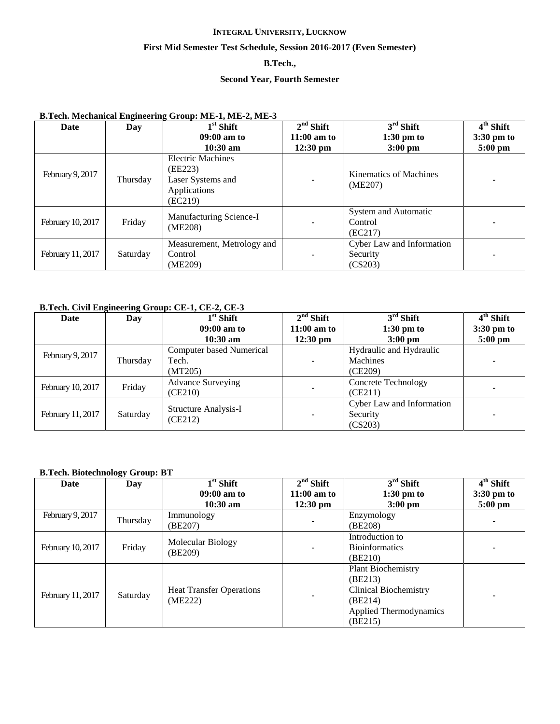## **First Mid Semester Test Schedule, Session 2016-2017 (Even Semester)**

# **B.Tech.,**

# **Second Year, Fourth Semester**

# **B.Tech. Mechanical Engineering Group: ME-1, ME-2, ME-3**

| Date              | Day      | $1st$ Shift                                                                         | $2nd$ Shift   | $3rd$ Shift                                      | $\overline{4}^{\text{th}}$ Shift |
|-------------------|----------|-------------------------------------------------------------------------------------|---------------|--------------------------------------------------|----------------------------------|
|                   |          | $09:00$ am to                                                                       | $11:00$ am to | $1:30$ pm to                                     | $3:30 \text{ pm}$ to             |
|                   |          | $10:30$ am                                                                          | $12:30$ pm    | $3:00$ pm                                        | $5:00$ pm                        |
| February 9, 2017  | Thursday | <b>Electric Machines</b><br>(EE223)<br>Laser Systems and<br>Applications<br>(EC219) | ۰             | Kinematics of Machines<br>(ME207)                |                                  |
| February 10, 2017 | Friday   | Manufacturing Science-I<br>(ME208)                                                  | ٠             | System and Automatic<br>Control<br>(EC217)       |                                  |
| February 11, 2017 | Saturday | Measurement, Metrology and<br>Control<br>(ME209)                                    | ٠             | Cyber Law and Information<br>Security<br>(CS203) |                                  |

# **B.Tech. Civil Engineering Group: CE-1, CE-2, CE-3**

| Date              | Day      | $1st$ Shift                 | $2nd$ Shift        | $3rd$ Shift                | $4th$ Shift          |
|-------------------|----------|-----------------------------|--------------------|----------------------------|----------------------|
|                   |          | $09:00$ am to               | $11:00$ am to      | $1:30 \text{ pm}$ to       | $3:30 \text{ pm}$ to |
|                   |          | $10:30$ am                  | $12:30 \text{ pm}$ | $3:00 \text{ pm}$          | $5:00$ pm            |
|                   |          | Computer based Numerical    |                    | Hydraulic and Hydraulic    |                      |
| February 9, 2017  | Thursday | Tech.                       | ۰                  | Machines                   |                      |
|                   |          | (MT205)                     |                    | (CE209)                    |                      |
| February 10, 2017 | Friday   | <b>Advance Surveying</b>    |                    | <b>Concrete Technology</b> |                      |
|                   |          | (CE210)                     | ۰                  | (CE211)                    |                      |
|                   |          | <b>Structure Analysis-I</b> |                    | Cyber Law and Information  |                      |
| February 11, 2017 | Saturday | (CE212)                     |                    | Security                   |                      |
|                   |          |                             |                    | (CS203)                    |                      |

#### **B.Tech. Biotechnology Group: BT**

| Date              | Day      | $1st$ Shift                     | $2nd$ Shift              | $3rd$ Shift                   | $4th$ Shift          |
|-------------------|----------|---------------------------------|--------------------------|-------------------------------|----------------------|
|                   |          | $09:00$ am to                   | $11:00$ am to            | $1:30$ pm to                  | $3:30 \text{ pm}$ to |
|                   |          | $10:30$ am                      | $12:30 \text{ pm}$       | $3:00$ pm                     | $5:00$ pm            |
| February 9, 2017  | Thursday | Immunology                      |                          | Enzymology                    |                      |
|                   |          | (BE207)                         |                          | (BE208)                       |                      |
|                   |          | Molecular Biology               |                          | Introduction to               |                      |
| February 10, 2017 | Friday   | (BE209)                         | ۰                        | <b>Bioinformatics</b>         |                      |
|                   |          |                                 |                          | (BE210)                       |                      |
|                   |          |                                 |                          | <b>Plant Biochemistry</b>     |                      |
|                   |          |                                 |                          | (BE213)                       |                      |
|                   | Saturday | <b>Heat Transfer Operations</b> |                          | <b>Clinical Biochemistry</b>  |                      |
| February 11, 2017 |          | (ME222)                         | $\overline{\phantom{a}}$ | (BE214)                       |                      |
|                   |          |                                 |                          | <b>Applied Thermodynamics</b> |                      |
|                   |          |                                 |                          | (BE215)                       |                      |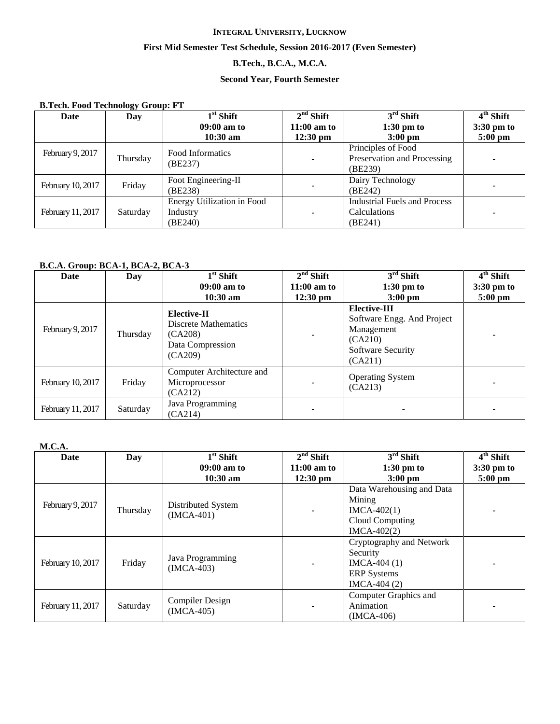## **First Mid Semester Test Schedule, Session 2016-2017 (Even Semester)**

# **B.Tech., B.C.A., M.C.A.**

# **Second Year, Fourth Semester**

| <b>B.Tech. Food Technology Group: FT</b> |          |                                                          |                    |                                                                |                      |  |  |
|------------------------------------------|----------|----------------------------------------------------------|--------------------|----------------------------------------------------------------|----------------------|--|--|
| Date                                     | Day      | $1st$ Shift                                              | $2nd$ Shift        | $3rd$ Shift                                                    | $4th$ Shift          |  |  |
|                                          |          | $09:00$ am to                                            | $11:00$ am to      | $1:30$ pm to                                                   | $3:30 \text{ pm}$ to |  |  |
|                                          |          | $10:30$ am                                               | $12:30 \text{ pm}$ | $3:00$ pm                                                      | $5:00$ pm            |  |  |
| February 9, 2017                         | Thursday | Food Informatics<br>(BE237)                              | $\blacksquare$     | Principles of Food<br>Preservation and Processing<br>(BE239)   |                      |  |  |
| February 10, 2017                        | Friday   | Foot Engineering-II<br>(BE238)                           | ۰                  | Dairy Technology<br>(BE242)                                    |                      |  |  |
| February 11, 2017                        | Saturday | <b>Energy Utilization in Food</b><br>Industry<br>(BE240) | $\blacksquare$     | <b>Industrial Fuels and Process</b><br>Calculations<br>(BE241) |                      |  |  |

#### **B.C.A. Group: BCA-1, BCA-2, BCA-3**

| Date              | Day      | $\overline{1}^{\rm st}$ Shift                                                        | $2nd$ Shift        | $3rd$ Shift                                                                                                | 4 <sup>th</sup> Shift |
|-------------------|----------|--------------------------------------------------------------------------------------|--------------------|------------------------------------------------------------------------------------------------------------|-----------------------|
|                   |          | $09:00$ am to                                                                        | $11:00$ am to      | $1:30$ pm to                                                                                               | $3:30 \text{ pm}$ to  |
|                   |          | $10:30$ am                                                                           | $12:30 \text{ pm}$ | $3:00$ pm                                                                                                  | $5:00$ pm             |
| February 9, 2017  | Thursday | Elective-II<br><b>Discrete Mathematics</b><br>(CA208)<br>Data Compression<br>(CA209) |                    | <b>Elective-III</b><br>Software Engg. And Project<br>Management<br>(CA210)<br>Software Security<br>(CA211) |                       |
| February 10, 2017 | Friday   | Computer Architecture and<br>Microprocessor<br>(CA212)                               |                    | <b>Operating System</b><br>(CA213)                                                                         |                       |
| February 11, 2017 | Saturday | Java Programming<br>(CA214)                                                          | ۰                  |                                                                                                            |                       |

# **M.C.A.**

| Date              | Day      | $1st$ Shift                            | $2nd$ Shift        | $3rd$ Shift                                                                                  | $\overline{4}^{\text{th}}$ Shift |
|-------------------|----------|----------------------------------------|--------------------|----------------------------------------------------------------------------------------------|----------------------------------|
|                   |          | $09:00$ am to                          | $11:00$ am to      | $1:30$ pm to                                                                                 | $3:30 \text{ pm}$ to             |
|                   |          | $10:30$ am                             | $12:30 \text{ pm}$ | $3:00 \text{ pm}$                                                                            | $5:00$ pm                        |
| February 9, 2017  | Thursday | Distributed System<br>$(IMCA-401)$     |                    | Data Warehousing and Data<br>Mining<br>$IMCA-402(1)$<br>Cloud Computing<br>$IMCA-402(2)$     |                                  |
| February 10, 2017 | Friday   | Java Programming<br>$(IMCA-403)$       | ۰                  | Cryptography and Network<br>Security<br>$IMCA-404(1)$<br><b>ERP</b> Systems<br>$IMCA-404(2)$ |                                  |
| February 11, 2017 | Saturday | <b>Compiler Design</b><br>$(IMCA-405)$ | ۰                  | Computer Graphics and<br>Animation<br>$IMCA-406)$                                            |                                  |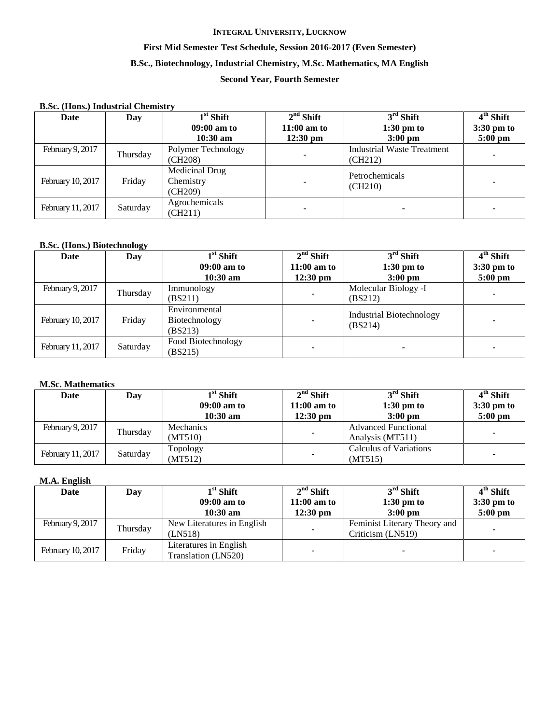# **First Mid Semester Test Schedule, Session 2016-2017 (Even Semester)**

## **B.Sc., Biotechnology, Industrial Chemistry, M.Sc. Mathematics, MA English**

# **Second Year, Fourth Semester**

| <b>B.Sc. (Hons.) Industrial Chemistry</b> |          |                                               |                                            |                                                  |                                                  |  |  |
|-------------------------------------------|----------|-----------------------------------------------|--------------------------------------------|--------------------------------------------------|--------------------------------------------------|--|--|
| Date                                      | Day      | $1st$ Shift<br>$09:00$ am to<br>$10:30$ am    | $2nd$ Shift<br>$11:00$ am to<br>$12:30$ pm | $3rd$ Shift<br>$1:30$ pm to<br>$3:00 \text{ pm}$ | $4th$ Shift<br>$3:30 \text{ pm}$ to<br>$5:00$ pm |  |  |
| February 9, 2017                          | Thursday | Polymer Technology<br>(CH208)                 | -                                          | <b>Industrial Waste Treatment</b><br>(CH212)     |                                                  |  |  |
| February 10, 2017                         | Friday   | <b>Medicinal Drug</b><br>Chemistry<br>(CH209) |                                            | Petrochemicals<br>(CH210)                        |                                                  |  |  |
| February 11, 2017                         | Saturday | Agrochemicals<br>(CH211)                      |                                            |                                                  |                                                  |  |  |

# **B.Sc. (Hons.) Biotechnology**

| Date              | Day      | $1st$ Shift                               | $2nd$ Shift        | $3rd$ Shift                                | 4 <sup>th</sup> Shift |
|-------------------|----------|-------------------------------------------|--------------------|--------------------------------------------|-----------------------|
|                   |          | $09:00$ am to                             | $11:00$ am to      | $1:30$ pm to                               | $3:30 \text{ pm}$ to  |
|                   |          | $10:30$ am                                | $12:30 \text{ pm}$ | $3:00 \text{ pm}$                          | $5:00$ pm             |
| February 9, 2017  | Thursday | Immunology<br>(BS211)                     |                    | Molecular Biology -I<br>(BS212)            |                       |
| February 10, 2017 | Friday   | Environmental<br>Biotechnology<br>(BS213) |                    | <b>Industrial Biotechnology</b><br>(BS214) |                       |
| February 11, 2017 | Saturday | Food Biotechnology<br>(BS215)             |                    |                                            |                       |

#### **M.Sc. Mathematics**

| Date              | Day      | $1^{\rm st}$ Shift | $2nd$ Shift        | $3rd$ Shift                | $4th$ Shift          |
|-------------------|----------|--------------------|--------------------|----------------------------|----------------------|
|                   |          | $09:00$ am to      | $11:00$ am to      | $1:30 \text{ pm}$ to       | $3:30 \text{ pm}$ to |
|                   |          | $10:30$ am         | $12:30 \text{ pm}$ | $3:00 \text{ pm}$          | $5:00 \text{ pm}$    |
| February 9, 2017  | Thursday | Mechanics          | ۰                  | <b>Advanced Functional</b> |                      |
|                   |          | (MT510)            |                    | Analysis (MT511)           |                      |
|                   |          | Topology           |                    | Calculus of Variations     |                      |
| February 11, 2017 | Saturday | (MT512)            | ۰                  | (MT515)                    |                      |

#### **M.A. English**

| Date              | Day      | $1^{\rm st}$ Shift         | $2nd$ Shift        | $3rd$ Shift                  | 4 <sup>th</sup> Shift |
|-------------------|----------|----------------------------|--------------------|------------------------------|-----------------------|
|                   |          | $09:00$ am to              | $11:00$ am to      | $1:30 \text{ pm}$ to         | $3:30 \text{ pm}$ to  |
|                   |          | $10:30$ am                 | $12:30 \text{ pm}$ | $3:00 \text{ pm}$            | $5:00 \text{ pm}$     |
| February 9, 2017  |          | New Literatures in English |                    | Feminist Literary Theory and |                       |
|                   | Thursday | (LN518)                    |                    | Criticism (LN519)            |                       |
| February 10, 2017 | Friday   | Literatures in English     |                    |                              |                       |
|                   |          | Translation (LN520)        |                    |                              |                       |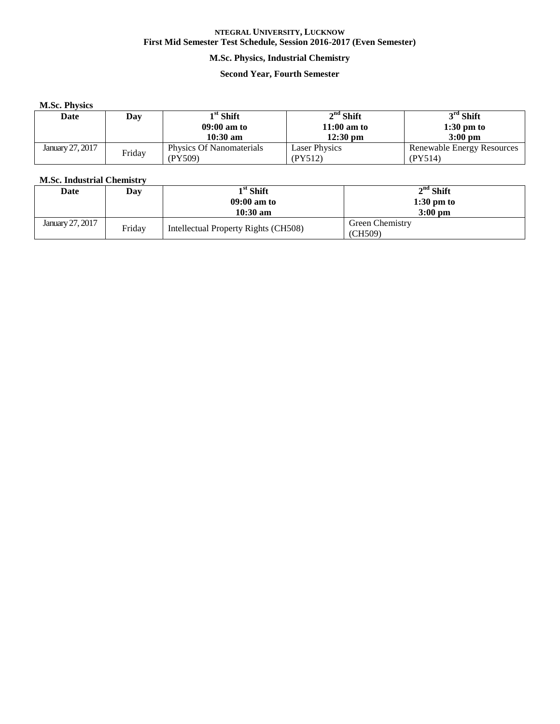# **M.Sc. Physics, Industrial Chemistry**

# **Second Year, Fourth Semester**

#### **M.Sc. Physics**

| Date             | Day    | $1^{\rm st}$ Shift       | $2nd$ Shift          | $3rd$ Shift                |
|------------------|--------|--------------------------|----------------------|----------------------------|
|                  |        | $09:00$ am to            | $11:00$ am to        | $1:30$ pm to               |
|                  |        | $10:30 \text{ am}$       | $12:30$ pm           | $3:00$ pm                  |
| January 27, 2017 | Friday | Physics Of Nanomaterials | <b>Laser Physics</b> | Renewable Energy Resources |
|                  |        | (PY509)                  | PY512)               | (PY514)                    |

# **M.Sc. Industrial Chemistry**

| Date             | Dav    | $1st$ Shift                          | $2nd$ Shift            |
|------------------|--------|--------------------------------------|------------------------|
|                  |        | $09:00$ am to                        | $1:30$ pm to           |
|                  |        | $10:30$ am                           | $3:00$ pm              |
| January 27, 2017 | Friday | Intellectual Property Rights (CH508) | <b>Green Chemistry</b> |
|                  |        |                                      | (CH509)                |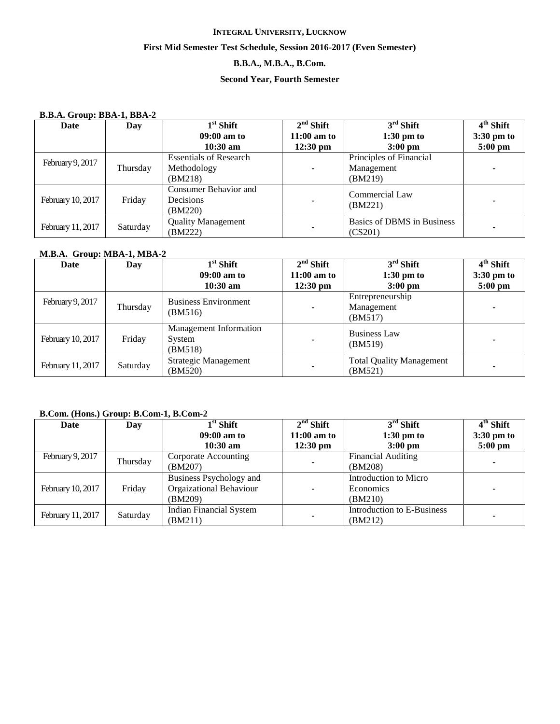# **First Mid Semester Test Schedule, Session 2016-2017 (Even Semester)**

# **B.B.A., M.B.A., B.Com.**

# **Second Year, Fourth Semester**

## **B.B.A. Group: BBA-1, BBA-2**

| Date              | Day      | $1st$ Shift                                   | $2nd$ Shift              | $3rd$ Shift                           | 4 <sup>th</sup> Shift |
|-------------------|----------|-----------------------------------------------|--------------------------|---------------------------------------|-----------------------|
|                   |          | $09:00$ am to                                 | $11:00$ am to            | $1:30$ pm to                          | $3:30 \text{ pm}$ to  |
|                   |          | $10:30$ am                                    | $12:30 \text{ pm}$       | $3:00$ pm                             | $5:00$ pm             |
|                   |          | <b>Essentials of Research</b>                 |                          | Principles of Financial               |                       |
| February 9, 2017  | Thursday | Methodology                                   | $\overline{\phantom{a}}$ | Management                            |                       |
|                   |          | (BM218)                                       |                          | (BM219)                               |                       |
| February 10, 2017 | Friday   | Consumer Behavior and<br>Decisions<br>(BM220) |                          | Commercial Law<br>(BM221)             |                       |
| February 11, 2017 | Saturday | <b>Quality Management</b><br>(BM222)          | $\overline{\phantom{a}}$ | Basics of DBMS in Business<br>(CS201) |                       |

## **M.B.A. Group: MBA-1, MBA-2**

| Date              | Day      | $1st$ Shift                                        | $2nd$ Shift        | $3rd$ Shift                                | $\overline{4}^{\text{th}}$ Shift |
|-------------------|----------|----------------------------------------------------|--------------------|--------------------------------------------|----------------------------------|
|                   |          | $09:00$ am to                                      | $11:00$ am to      | $1:30 \text{ pm}$ to                       | $3:30 \text{ pm}$ to             |
|                   |          | $10:30$ am                                         | $12:30 \text{ pm}$ | $3:00$ pm                                  | $5:00 \text{ pm}$                |
| February 9, 2017  | Thursday | <b>Business Environment</b><br>(BM516)             | ۰                  | Entrepreneurship<br>Management<br>(BM517)  |                                  |
| February 10, 2017 | Friday   | <b>Management Information</b><br>System<br>(BM518) | ۰                  | <b>Business Law</b><br>(BM519)             |                                  |
| February 11, 2017 | Saturday | Strategic Management<br>(BM520)                    |                    | <b>Total Quality Management</b><br>(BM521) |                                  |

## **B.Com. (Hons.) Group: B.Com-1, B.Com-2**

| Date              | Day      | $1st$ Shift                    | $2nd$ Shift        | $3rd$ Shift                | $4th$ Shift          |
|-------------------|----------|--------------------------------|--------------------|----------------------------|----------------------|
|                   |          | $09:00$ am to                  | $11:00$ am to      | $1:30$ pm to               | $3:30 \text{ pm}$ to |
|                   |          | $10:30$ am                     | $12:30 \text{ pm}$ | $3:00 \text{ pm}$          | $5:00$ pm            |
| February 9, 2017  | Thursday | Corporate Accounting           |                    | <b>Financial Auditing</b>  |                      |
|                   |          | (BM207)                        |                    | (BM208)                    |                      |
|                   |          | Business Psychology and        |                    | Introduction to Micro      |                      |
| February 10, 2017 | Friday   | Orgaizational Behaviour        | $\blacksquare$     | Economics                  |                      |
|                   |          | (BM209)                        |                    | (BM210)                    |                      |
| February 11, 2017 | Saturday | <b>Indian Financial System</b> |                    | Introduction to E-Business |                      |
|                   |          | (BM211)                        |                    | (BM212)                    |                      |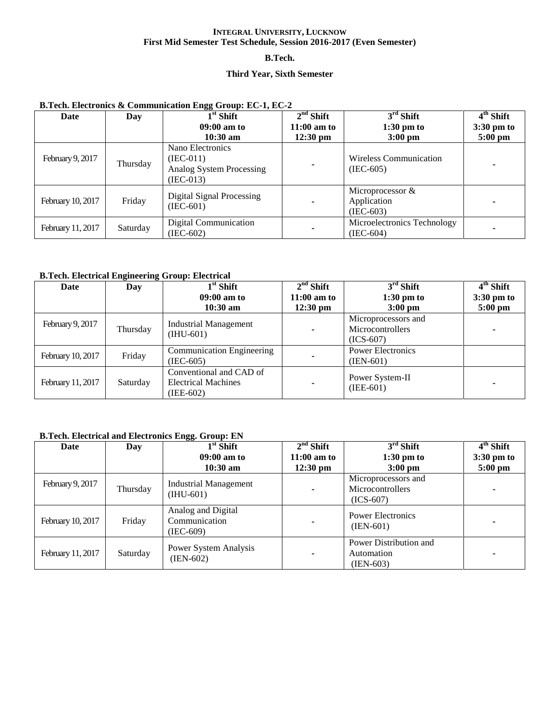#### **B.Tech.**

# **Third Year, Sixth Semester**

| Date              | Day      | $1^{\rm st}$ Shift                                                         | $2nd$ Shift                         | $3rd$ Shift                                       | $4th$ Shift               |
|-------------------|----------|----------------------------------------------------------------------------|-------------------------------------|---------------------------------------------------|---------------------------|
|                   |          | $09:00$ am to<br>$10:30$ am                                                | $11:00$ am to<br>$12:30 \text{ pm}$ | $1:30$ pm to<br>$3:00 \text{ pm}$                 | $3:30$ pm to<br>$5:00$ pm |
| February 9, 2017  | Thursday | Nano Electronics<br>$(IEC-011)$<br>Analog System Processing<br>$(IEC-013)$ |                                     | <b>Wireless Communication</b><br>$(IEC-605)$      |                           |
| February 10, 2017 | Friday   | Digital Signal Processing<br>$(IEC-601)$                                   | ۰                                   | Microprocessor $\&$<br>Application<br>$(IEC-603)$ |                           |
| February 11, 2017 | Saturday | <b>Digital Communication</b><br>(IEC-602)                                  | $\overline{\phantom{a}}$            | Microelectronics Technology<br>$(IEC-604)$        |                           |

# **B.Tech. Electronics & Communication Engg Group: EC-1, EC-2**

#### **B.Tech. Electrical Engineering Group: Electrical**

| Date              | Day      | $1st$ Shift                                                | $2nd$ Shift        | $3rd$ Shift              | $4th$ Shift          |
|-------------------|----------|------------------------------------------------------------|--------------------|--------------------------|----------------------|
|                   |          | $09:00$ am to                                              | $11:00$ am to      | $1:30$ pm to             | $3:30 \text{ pm}$ to |
|                   |          | $10:30$ am                                                 | $12:30 \text{ pm}$ | $3:00$ pm                | $5:00 \text{ pm}$    |
| February 9, 2017  |          | <b>Industrial Management</b>                               |                    | Microprocessors and      |                      |
|                   | Thursday | $(HU-601)$                                                 | $\blacksquare$     | Microcontrollers         |                      |
|                   |          |                                                            |                    | $(ICS-607)$              |                      |
| February 10, 2017 | Friday   | <b>Communication Engineering</b>                           |                    | <b>Power Electronics</b> |                      |
|                   |          | -<br>$(IEC-605)$<br>$(IEN-601)$<br>Conventional and CAD of |                    |                          |                      |
|                   |          |                                                            |                    | Power System-II          |                      |
| February 11, 2017 | Saturday | <b>Electrical Machines</b>                                 |                    | $(IEE-601)$              |                      |
|                   |          | (IEE-602)                                                  |                    |                          |                      |

# **B.Tech. Electrical and Electronics Engg. Group: EN**

| Date              | Day      | $1st$ Shift                                      | $2nd$ Shift        | $3rd$ Shift                                            | $4th$ Shift          |
|-------------------|----------|--------------------------------------------------|--------------------|--------------------------------------------------------|----------------------|
|                   |          | $09:00$ am to                                    | $11:00$ am to      | $1:30$ pm to                                           | $3:30 \text{ pm}$ to |
|                   |          | $10:30$ am                                       | $12:30 \text{ pm}$ | $3:00 \text{ pm}$                                      | $5:00 \text{ pm}$    |
| February 9, 2017  | Thursday | <b>Industrial Management</b><br>$(HU-601)$       |                    | Microprocessors and<br>Microcontrollers<br>$(ICS-607)$ |                      |
| February 10, 2017 | Friday   | Analog and Digital<br>Communication<br>(IEC-609) |                    | <b>Power Electronics</b><br>$(IEN-601)$                |                      |
| February 11, 2017 | Saturday | Power System Analysis<br>$(IEN-602)$             | ۰                  | Power Distribution and<br>Automation<br>(IEN-603)      |                      |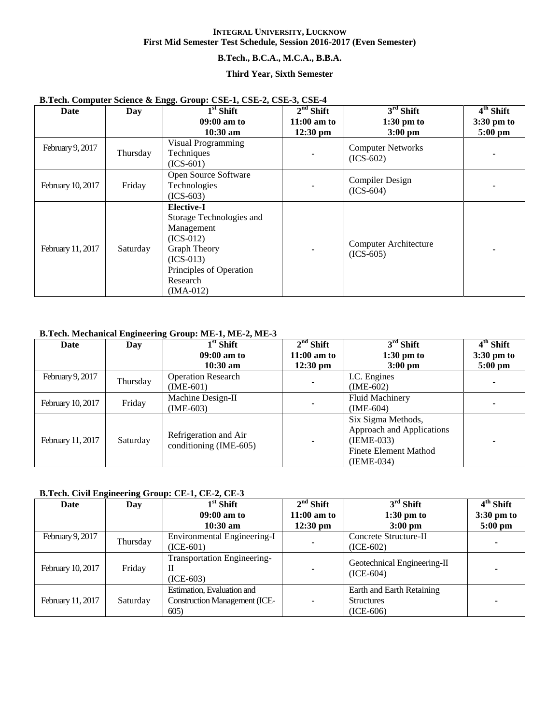# **B.Tech., B.C.A., M.C.A., B.B.A.**

#### **Third Year, Sixth Semester**

| $\frac{1}{2}$<br>Date | Day      | $-55.$ $-1.$ $-1.$ $-1.$ $-1.$ $-1.$ $-1.$<br>$1st$ Shift                                                                                                              | $2nd$ Shift        | $3rd$ Shift                             | $4th$ Shift          |
|-----------------------|----------|------------------------------------------------------------------------------------------------------------------------------------------------------------------------|--------------------|-----------------------------------------|----------------------|
|                       |          | 09:00 am to                                                                                                                                                            | $11:00$ am to      | $1:30$ pm to                            | $3:30 \text{ pm}$ to |
|                       |          | $10:30$ am                                                                                                                                                             | $12:30 \text{ pm}$ | $3:00$ pm                               | $5:00$ pm            |
| February 9, 2017      | Thursday | Visual Programming<br>Techniques<br>$(ICS-601)$                                                                                                                        |                    | <b>Computer Networks</b><br>$(ICS-602)$ |                      |
| February 10, 2017     | Friday   | Open Source Software<br>Technologies<br>$(ICS-603)$                                                                                                                    |                    | Compiler Design<br>$(ICS-604)$          |                      |
| February 11, 2017     | Saturday | <b>Elective-I</b><br>Storage Technologies and<br>Management<br>$(ICS-012)$<br><b>Graph Theory</b><br>$(ICS-013)$<br>Principles of Operation<br>Research<br>$(IMA-012)$ |                    | Computer Architecture<br>$(ICS-605)$    |                      |

# **B.Tech. Computer Science & Engg. Group: CSE-1, CSE-2, CSE-3, CSE-4**

# **B.Tech. Mechanical Engineering Group: ME-1, ME-2, ME-3**

| Date              | Day      | $1st$ Shift               | $2nd$ Shift        | $3rd$ Shift               | $4th$ Shift          |
|-------------------|----------|---------------------------|--------------------|---------------------------|----------------------|
|                   |          | $09:00$ am to             | $11:00$ am to      | $1:30$ pm to              | $3:30 \text{ pm}$ to |
|                   |          | $10:30$ am                | $12:30 \text{ pm}$ | $3:00$ pm                 | $5:00$ pm            |
| February 9, 2017  | Thursday | <b>Operation Research</b> |                    | I.C. Engines              |                      |
|                   |          | $(IME-601)$               |                    | $(IME-602)$               |                      |
|                   | Friday   | Machine Design-II         |                    | <b>Fluid Machinery</b>    |                      |
| February 10, 2017 |          | $(IME-603)$               |                    | $(IME-604)$               |                      |
|                   |          |                           |                    | Six Sigma Methods,        |                      |
|                   |          | Refrigeration and Air     |                    | Approach and Applications |                      |
| February 11, 2017 | Saturday | conditioning (IME-605)    | ۰                  | $(IEME-033)$              |                      |
|                   |          |                           |                    | Finete Element Mathod     |                      |
|                   |          |                           |                    | $(IEME-034)$              |                      |

# **B.Tech. Civil Engineering Group: CE-1, CE-2, CE-3**

| Date              | Day      | $1st$ Shift                          | $2nd$ Shift    | $3rd$ Shift                 | $4th$ Shift |
|-------------------|----------|--------------------------------------|----------------|-----------------------------|-------------|
|                   |          | $09:00$ am to                        | $11:00$ am to  | $1:30 \text{ pm}$ to        | 3:30 pm to  |
|                   |          | $10:30$ am                           | $12:30$ pm     | $3:00$ pm                   | $5:00$ pm   |
| February 9, 2017  | Thursday | Environmental Engineering-I          |                | Concrete Structure-II       |             |
|                   |          | $(ICE-601)$                          | ٠              | $(ICE-602)$                 |             |
|                   |          | <b>Transportation Engineering-</b>   |                | Geotechnical Engineering-II |             |
| February 10, 2017 | Friday   | Н                                    | $\blacksquare$ | $(ICE-604)$                 |             |
|                   |          | $(ICE-603)$                          |                |                             |             |
|                   |          | Estimation, Evaluation and           |                | Earth and Earth Retaining   |             |
| February 11, 2017 | Saturday | <b>Construction Management (ICE-</b> | $\blacksquare$ | <b>Structures</b>           |             |
|                   |          | 605                                  |                | $(ICE-606)$                 |             |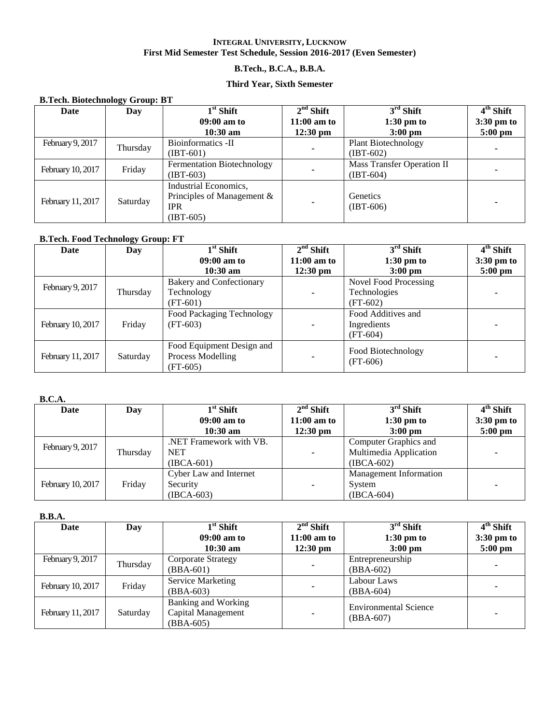# **B.Tech., B.C.A., B.B.A.**

## **Third Year, Sixth Semester**

| <b>B.Tech. Biotechnology Group: BT</b> |          |                               |                    |                            |                           |  |  |  |
|----------------------------------------|----------|-------------------------------|--------------------|----------------------------|---------------------------|--|--|--|
| Date                                   | Day      | $1st$ Shift                   | $2nd$ Shift        | $3rd$ Shift                | $\overline{4^{th}}$ Shift |  |  |  |
|                                        |          | $09:00$ am to                 | $11:00$ am to      | $1:30 \text{ pm}$ to       | $3:30 \text{ pm}$ to      |  |  |  |
|                                        |          | $10:30$ am                    | $12:30 \text{ pm}$ | $3:00$ pm                  | $5:00$ pm                 |  |  |  |
| February 9, 2017                       | Thursday | Bioinformatics -II            |                    | <b>Plant Biotechnology</b> |                           |  |  |  |
|                                        |          | (IBT-601)                     |                    | $(IBT-602)$                |                           |  |  |  |
| February 10, 2017                      | Friday   | Fermentation Biotechnology    |                    | Mass Transfer Operation II |                           |  |  |  |
|                                        |          | $(IBT-603)$                   |                    | $(IBT-604)$                |                           |  |  |  |
|                                        |          | Industrial Economics,         |                    |                            |                           |  |  |  |
|                                        | Saturday | Principles of Management $\&$ |                    | Genetics                   |                           |  |  |  |
| February 11, 2017                      |          | <b>IPR</b>                    | ۰                  | $(IBT-606)$                |                           |  |  |  |
|                                        |          | $(IBT-605)$                   |                    |                            |                           |  |  |  |

# **B.Tech. Food Technology Group: FT**

| Date              | Day      | $1st$ Shift               | $2nd$ Shift   | $3rd$ Shift                      | $4th$ Shift          |
|-------------------|----------|---------------------------|---------------|----------------------------------|----------------------|
|                   |          | $09:00$ am to             | $11:00$ am to | $1:30$ pm to                     | $3:30 \text{ pm}$ to |
|                   |          | $10:30 \text{ am}$        | $12:30$ pm    | $3:00$ pm                        | $5:00$ pm            |
| February 9, 2017  |          | Bakery and Confectionary  |               | Novel Food Processing            |                      |
|                   | Thursday | Technology                | ۰             | Technologies                     |                      |
|                   |          | $(FT-601)$                |               | $(FT-602)$                       |                      |
|                   |          | Food Packaging Technology |               | Food Additives and               |                      |
| February 10, 2017 | Friday   | (FT-603)                  |               | Ingredients                      |                      |
|                   |          |                           |               | $(FT-604)$                       |                      |
|                   |          | Food Equipment Design and |               |                                  |                      |
| February 11, 2017 | Saturday | Process Modelling         | ۰             | Food Biotechnology<br>$(FT-606)$ |                      |
|                   |          | (FT-605)                  |               |                                  |                      |

#### **B.C.A.**

| Date              | Day      | $1st$ Shift             | $2nd$ Shift        | $3rd$ Shift                   | $4th$ Shift          |
|-------------------|----------|-------------------------|--------------------|-------------------------------|----------------------|
|                   |          | $09:00$ am to           | $11:00$ am to      | $1:30 \text{ pm}$ to          | $3:30 \text{ pm}$ to |
|                   |          | $10:30$ am              | $12:30 \text{ pm}$ | $3:00 \text{ pm}$             | $5:00 \text{ pm}$    |
|                   |          | .NET Framework with VB. |                    | Computer Graphics and         |                      |
| February 9, 2017  | Thursday | <b>NET</b>              | ۰                  | Multimedia Application        |                      |
|                   |          | $(IBCA-601)$            |                    | $(IBCA-602)$                  |                      |
|                   |          | Cyber Law and Internet  |                    | <b>Management Information</b> |                      |
| February 10, 2017 | Friday   | Security                | $\blacksquare$     | System                        |                      |
|                   |          | $(IBCA-603)$            |                    | $(IBCA-604)$                  |                      |

#### **B.B.A.**

| Date              | Day      | $1st$ Shift                                                     | $2nd$ Shift        | $3rd$ Shift                                 | $4th$ Shift       |
|-------------------|----------|-----------------------------------------------------------------|--------------------|---------------------------------------------|-------------------|
|                   |          | $09:00$ am to                                                   | $11:00$ am to      | $1:30 \text{ pm}$ to                        | $3:30$ pm to      |
|                   |          | $10:30$ am                                                      | $12:30 \text{ pm}$ | $3:00 \text{ pm}$                           | $5:00 \text{ pm}$ |
| February 9, 2017  |          | Corporate Strategy                                              |                    | Entrepreneurship                            |                   |
|                   |          | Thursday<br>$(BBA-601)$                                         | ۰                  | $(BBA-602)$                                 |                   |
| February 10, 2017 | Friday   | Service Marketing                                               |                    | Labour Laws                                 |                   |
|                   |          | (BBA-603)                                                       | $\blacksquare$     | $(BBA-604)$                                 |                   |
| February 11, 2017 | Saturday | <b>Banking and Working</b><br>Capital Management<br>$(BBA-605)$ | $\blacksquare$     | <b>Environmental Science</b><br>$(BBA-607)$ |                   |